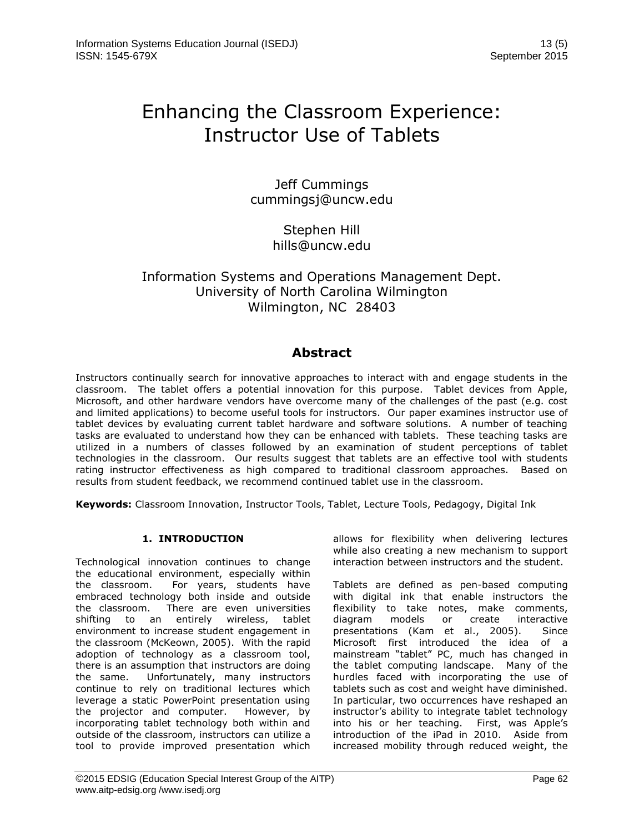# Enhancing the Classroom Experience: Instructor Use of Tablets

Jeff Cummings cummingsj@uncw.edu

> Stephen Hill hills@uncw.edu

# Information Systems and Operations Management Dept. University of North Carolina Wilmington Wilmington, NC 28403

# **Abstract**

Instructors continually search for innovative approaches to interact with and engage students in the classroom. The tablet offers a potential innovation for this purpose. Tablet devices from Apple, Microsoft, and other hardware vendors have overcome many of the challenges of the past (e.g. cost and limited applications) to become useful tools for instructors. Our paper examines instructor use of tablet devices by evaluating current tablet hardware and software solutions. A number of teaching tasks are evaluated to understand how they can be enhanced with tablets. These teaching tasks are utilized in a numbers of classes followed by an examination of student perceptions of tablet technologies in the classroom. Our results suggest that tablets are an effective tool with students rating instructor effectiveness as high compared to traditional classroom approaches. Based on results from student feedback, we recommend continued tablet use in the classroom.

**Keywords:** Classroom Innovation, Instructor Tools, Tablet, Lecture Tools, Pedagogy, Digital Ink

# **1. INTRODUCTION**

Technological innovation continues to change the educational environment, especially within the classroom. For years, students have embraced technology both inside and outside the classroom. There are even universities shifting to an entirely wireless, tablet environment to increase student engagement in the classroom (McKeown, 2005). With the rapid adoption of technology as a classroom tool, there is an assumption that instructors are doing the same. Unfortunately, many instructors continue to rely on traditional lectures which leverage a static PowerPoint presentation using the projector and computer. However, by incorporating tablet technology both within and outside of the classroom, instructors can utilize a tool to provide improved presentation which

allows for flexibility when delivering lectures while also creating a new mechanism to support interaction between instructors and the student.

Tablets are defined as pen-based computing with digital ink that enable instructors the flexibility to take notes, make comments, diagram models or create interactive presentations (Kam et al., 2005). Since Microsoft first introduced the idea of a mainstream "tablet" PC, much has changed in the tablet computing landscape. Many of the hurdles faced with incorporating the use of tablets such as cost and weight have diminished. In particular, two occurrences have reshaped an instructor's ability to integrate tablet technology into his or her teaching. First, was Apple's introduction of the iPad in 2010. Aside from increased mobility through reduced weight, the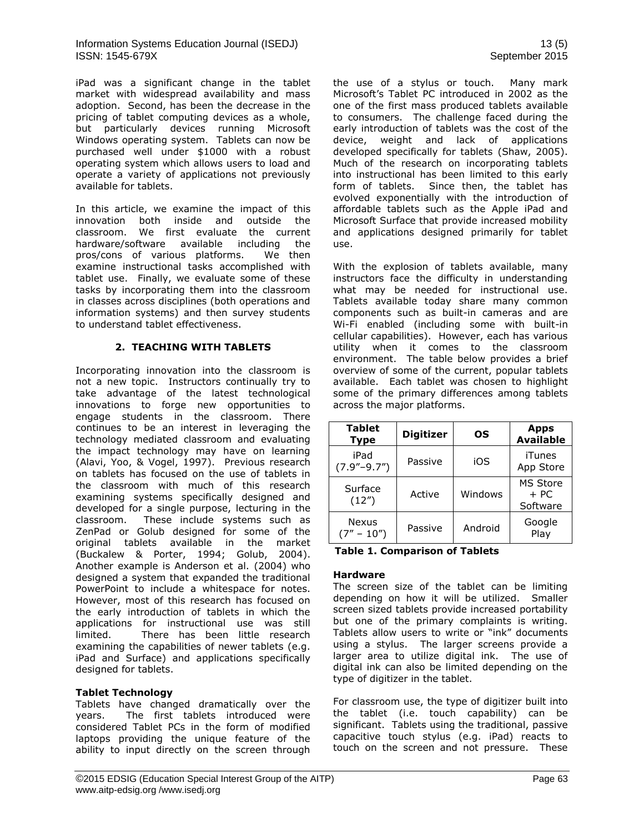iPad was a significant change in the tablet market with widespread availability and mass adoption. Second, has been the decrease in the pricing of tablet computing devices as a whole, but particularly devices running Microsoft Windows operating system. Tablets can now be purchased well under \$1000 with a robust operating system which allows users to load and operate a variety of applications not previously available for tablets.

In this article, we examine the impact of this innovation both inside and outside the classroom. We first evaluate the current hardware/software available including the pros/cons of various platforms. We then examine instructional tasks accomplished with tablet use. Finally, we evaluate some of these tasks by incorporating them into the classroom in classes across disciplines (both operations and information systems) and then survey students to understand tablet effectiveness.

#### **2. TEACHING WITH TABLETS**

Incorporating innovation into the classroom is not a new topic. Instructors continually try to take advantage of the latest technological innovations to forge new opportunities to engage students in the classroom. There continues to be an interest in leveraging the technology mediated classroom and evaluating the impact technology may have on learning (Alavi, Yoo, & Vogel, 1997). Previous research on tablets has focused on the use of tablets in the classroom with much of this research examining systems specifically designed and developed for a single purpose, lecturing in the classroom. These include systems such as ZenPad or Golub designed for some of the original tablets available in the market (Buckalew & Porter, 1994; Golub, 2004). Another example is Anderson et al. (2004) who designed a system that expanded the traditional PowerPoint to include a whitespace for notes. However, most of this research has focused on the early introduction of tablets in which the applications for instructional use was still limited. There has been little research examining the capabilities of newer tablets (e.g. iPad and Surface) and applications specifically designed for tablets.

#### **Tablet Technology**

Tablets have changed dramatically over the years. The first tablets introduced were considered Tablet PCs in the form of modified laptops providing the unique feature of the ability to input directly on the screen through the use of a stylus or touch. Many mark Microsoft's Tablet PC introduced in 2002 as the one of the first mass produced tablets available to consumers. The challenge faced during the early introduction of tablets was the cost of the device, weight and lack of applications developed specifically for tablets (Shaw, 2005). Much of the research on incorporating tablets into instructional has been limited to this early form of tablets. Since then, the tablet has evolved exponentially with the introduction of affordable tablets such as the Apple iPad and Microsoft Surface that provide increased mobility and applications designed primarily for tablet use.

With the explosion of tablets available, many instructors face the difficulty in understanding what may be needed for instructional use. Tablets available today share many common components such as built-in cameras and are Wi-Fi enabled (including some with built-in cellular capabilities). However, each has various utility when it comes to the classroom environment. The table below provides a brief overview of some of the current, popular tablets available. Each tablet was chosen to highlight some of the primary differences among tablets across the major platforms.

| <b>Tablet</b><br><b>Type</b> | <b>Digitizer</b> | ΟS      | <b>Apps</b><br><b>Available</b> |
|------------------------------|------------------|---------|---------------------------------|
| iPad<br>$(7.9" - 9.7")$      | Passive          | iOS     | iTunes<br>App Store             |
| Surface<br>(12")             | Active           | Windows | MS Store<br>$+ PC$<br>Software  |
| Nexus<br>$(7'' - 10'')$      | Passive          | Android | Google<br>Play                  |

#### **Table 1. Comparison of Tablets**

#### **Hardware**

The screen size of the tablet can be limiting depending on how it will be utilized. Smaller screen sized tablets provide increased portability but one of the primary complaints is writing. Tablets allow users to write or "ink" documents using a stylus. The larger screens provide a larger area to utilize digital ink. The use of digital ink can also be limited depending on the type of digitizer in the tablet.

For classroom use, the type of digitizer built into the tablet (i.e. touch capability) can be significant. Tablets using the traditional, passive capacitive touch stylus (e.g. iPad) reacts to touch on the screen and not pressure. These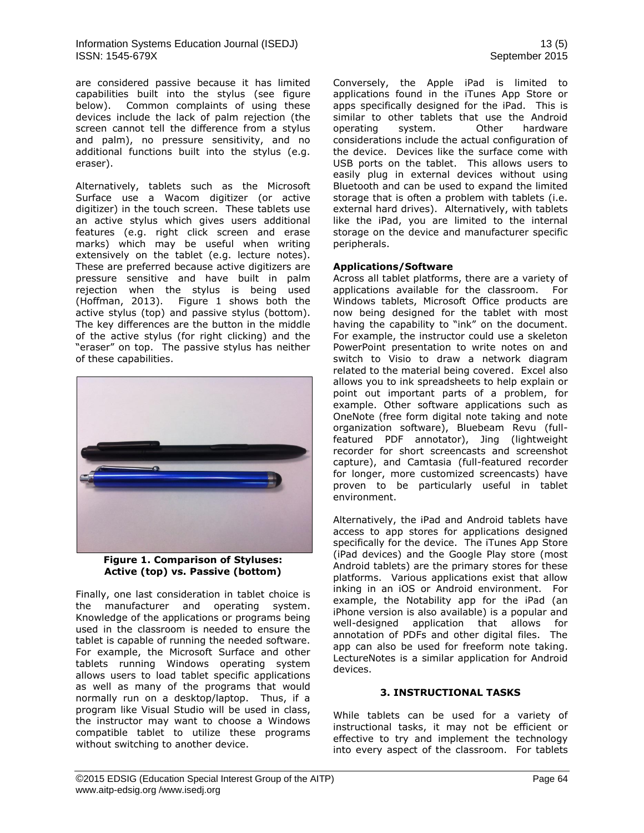are considered passive because it has limited capabilities built into the stylus (see figure below). Common complaints of using these devices include the lack of palm rejection (the screen cannot tell the difference from a stylus and palm), no pressure sensitivity, and no additional functions built into the stylus (e.g. eraser).

Alternatively, tablets such as the Microsoft Surface use a Wacom digitizer (or active digitizer) in the touch screen. These tablets use an active stylus which gives users additional features (e.g. right click screen and erase marks) which may be useful when writing extensively on the tablet (e.g. lecture notes). These are preferred because active digitizers are pressure sensitive and have built in palm rejection when the stylus is being used (Hoffman, 2013). Figure 1 shows both the active stylus (top) and passive stylus (bottom). The key differences are the button in the middle of the active stylus (for right clicking) and the "eraser" on top. The passive stylus has neither of these capabilities.



**Figure 1. Comparison of Styluses: Active (top) vs. Passive (bottom)**

Finally, one last consideration in tablet choice is the manufacturer and operating system. Knowledge of the applications or programs being used in the classroom is needed to ensure the tablet is capable of running the needed software. For example, the Microsoft Surface and other tablets running Windows operating system allows users to load tablet specific applications as well as many of the programs that would normally run on a desktop/laptop. Thus, if a program like Visual Studio will be used in class, the instructor may want to choose a Windows compatible tablet to utilize these programs without switching to another device.

Conversely, the Apple iPad is limited to applications found in the iTunes App Store or apps specifically designed for the iPad. This is similar to other tablets that use the Android operating system. Other hardware considerations include the actual configuration of the device. Devices like the surface come with USB ports on the tablet. This allows users to easily plug in external devices without using Bluetooth and can be used to expand the limited storage that is often a problem with tablets (i.e. external hard drives). Alternatively, with tablets like the iPad, you are limited to the internal storage on the device and manufacturer specific peripherals.

#### **Applications/Software**

Across all tablet platforms, there are a variety of applications available for the classroom. For Windows tablets, Microsoft Office products are now being designed for the tablet with most having the capability to "ink" on the document. For example, the instructor could use a skeleton PowerPoint presentation to write notes on and switch to Visio to draw a network diagram related to the material being covered. Excel also allows you to ink spreadsheets to help explain or point out important parts of a problem, for example. Other software applications such as OneNote (free form digital note taking and note organization software), Bluebeam Revu (fullfeatured PDF annotator), Jing (lightweight recorder for short screencasts and screenshot capture), and Camtasia (full-featured recorder for longer, more customized screencasts) have proven to be particularly useful in tablet environment.

Alternatively, the iPad and Android tablets have access to app stores for applications designed specifically for the device. The iTunes App Store (iPad devices) and the Google Play store (most Android tablets) are the primary stores for these platforms. Various applications exist that allow inking in an iOS or Android environment. For example, the Notability app for the iPad (an iPhone version is also available) is a popular and well-designed application that allows for annotation of PDFs and other digital files. The app can also be used for freeform note taking. LectureNotes is a similar application for Android devices.

#### **3. INSTRUCTIONAL TASKS**

While tablets can be used for a variety of instructional tasks, it may not be efficient or effective to try and implement the technology into every aspect of the classroom. For tablets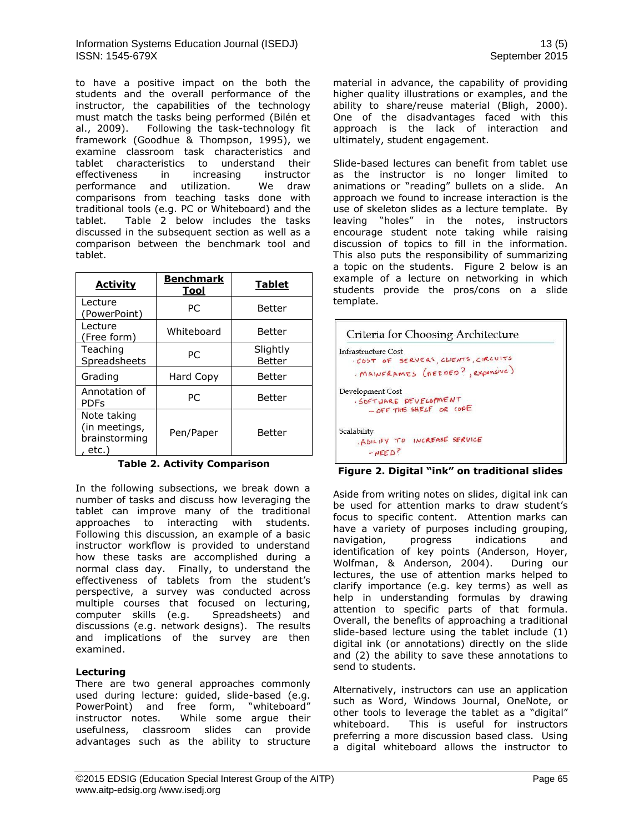to have a positive impact on the both the students and the overall performance of the instructor, the capabilities of the technology must match the tasks being performed (Bilén et al., 2009). Following the task-technology fit framework (Goodhue & Thompson, 1995), we examine classroom task characteristics and tablet characteristics to understand their effectiveness in increasing instructor performance and utilization. We draw comparisons from teaching tasks done with traditional tools (e.g. PC or Whiteboard) and the tablet. Table 2 below includes the tasks discussed in the subsequent section as well as a comparison between the benchmark tool and tablet.

| <b>Activity</b>                                        | <b>Benchmark</b><br>Tool | <b>Tablet</b>      |  |
|--------------------------------------------------------|--------------------------|--------------------|--|
| Lecture<br>(PowerPoint)                                | РC                       | Better             |  |
| Lecture<br>(Free form)                                 | Whiteboard               | Better             |  |
| Teaching<br>Spreadsheets                               | РC                       | Slightly<br>Better |  |
| Grading                                                | Hard Copy                | Better             |  |
| Annotation of<br><b>PDFs</b>                           | РC                       | Better             |  |
| Note taking<br>(in meetings,<br>brainstorming<br>etc.) | Pen/Paper                | Better             |  |

**Table 2. Activity Comparison**

In the following subsections, we break down a number of tasks and discuss how leveraging the tablet can improve many of the traditional approaches to interacting with students. Following this discussion, an example of a basic instructor workflow is provided to understand how these tasks are accomplished during a normal class day. Finally, to understand the effectiveness of tablets from the student's perspective, a survey was conducted across multiple courses that focused on lecturing, computer skills (e.g. Spreadsheets) and discussions (e.g. network designs). The results and implications of the survey are then examined.

# **Lecturing**

There are two general approaches commonly used during lecture: guided, slide-based (e.g. PowerPoint) and free form, "whiteboard" instructor notes. While some argue their usefulness, classroom slides can provide advantages such as the ability to structure material in advance, the capability of providing higher quality illustrations or examples, and the ability to share/reuse material (Bligh, 2000). One of the disadvantages faced with this approach is the lack of interaction and ultimately, student engagement.

Slide-based lectures can benefit from tablet use as the instructor is no longer limited to animations or "reading" bullets on a slide. An approach we found to increase interaction is the use of skeleton slides as a lecture template. By leaving "holes" in the notes, instructors encourage student note taking while raising discussion of topics to fill in the information. This also puts the responsibility of summarizing a topic on the students. Figure 2 below is an example of a lecture on networking in which students provide the pros/cons on a slide template.

| <b>Infrastructure Cost</b> |                                      |
|----------------------------|--------------------------------------|
|                            | · COST OF SERVERS, CLIENTS, CIRCUITS |
|                            | . MAINFRAMES (REEDED?, expensive)    |
| Development Cost           |                                      |
|                            | SOFTWARE PEVELOPMENT                 |
|                            | - OFF THE SHELF OR COPE              |
| Scalability                |                                      |
|                            | . A BILITY TO INCREASE SERVICE       |
| $-NEED$ ?                  |                                      |

**Figure 2. Digital "ink" on traditional slides**

Aside from writing notes on slides, digital ink can be used for attention marks to draw student's focus to specific content. Attention marks can have a variety of purposes including grouping,<br>navigation, progress indications and navigation, progress indications and identification of key points (Anderson, Hoyer, Wolfman, & Anderson, 2004). During our lectures, the use of attention marks helped to clarify importance (e.g. key terms) as well as help in understanding formulas by drawing attention to specific parts of that formula. Overall, the benefits of approaching a traditional slide-based lecture using the tablet include (1) digital ink (or annotations) directly on the slide and (2) the ability to save these annotations to send to students.

Alternatively, instructors can use an application such as Word, Windows Journal, OneNote, or other tools to leverage the tablet as a "digital" whiteboard. This is useful for instructors preferring a more discussion based class. Using a digital whiteboard allows the instructor to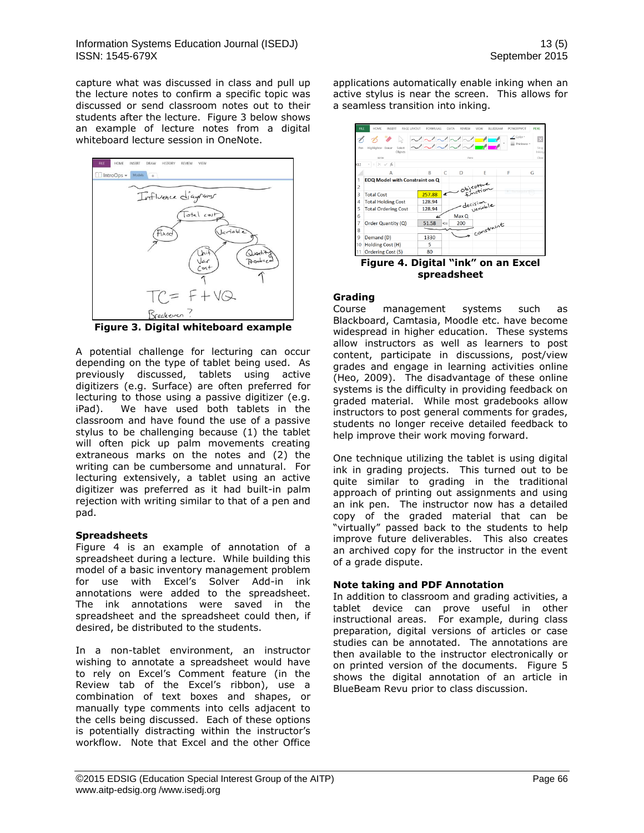capture what was discussed in class and pull up the lecture notes to confirm a specific topic was discussed or send classroom notes out to their students after the lecture. Figure 3 below shows an example of lecture notes from a digital whiteboard lecture session in OneNote.



**Figure 3. Digital whiteboard example**

A potential challenge for lecturing can occur depending on the type of tablet being used. As previously discussed, tablets using active digitizers (e.g. Surface) are often preferred for lecturing to those using a passive digitizer (e.g. iPad). We have used both tablets in the classroom and have found the use of a passive stylus to be challenging because (1) the tablet will often pick up palm movements creating extraneous marks on the notes and (2) the writing can be cumbersome and unnatural. For lecturing extensively, a tablet using an active digitizer was preferred as it had built-in palm rejection with writing similar to that of a pen and pad.

#### **Spreadsheets**

Figure 4 is an example of annotation of a spreadsheet during a lecture. While building this model of a basic inventory management problem for use with Excel's Solver Add-in ink annotations were added to the spreadsheet. The ink annotations were saved in the spreadsheet and the spreadsheet could then, if desired, be distributed to the students.

In a non-tablet environment, an instructor wishing to annotate a spreadsheet would have to rely on Excel's Comment feature (in the Review tab of the Excel's ribbon), use a combination of text boxes and shapes, or manually type comments into cells adjacent to the cells being discussed. Each of these options is potentially distracting within the instructor's workflow. Note that Excel and the other Office applications automatically enable inking when an active stylus is near the screen. This allows for a seamless transition into inking.



**Figure 4. Digital "ink" on an Excel spreadsheet**

# **Grading**

Course management systems such as Blackboard, Camtasia, Moodle etc. have become widespread in higher education. These systems allow instructors as well as learners to post content, participate in discussions, post/view grades and engage in learning activities online (Heo, 2009). The disadvantage of these online systems is the difficulty in providing feedback on graded material. While most gradebooks allow instructors to post general comments for grades, students no longer receive detailed feedback to help improve their work moving forward.

One technique utilizing the tablet is using digital ink in grading projects. This turned out to be quite similar to grading in the traditional approach of printing out assignments and using an ink pen. The instructor now has a detailed copy of the graded material that can be "virtually" passed back to the students to help improve future deliverables. This also creates an archived copy for the instructor in the event of a grade dispute.

# **Note taking and PDF Annotation**

In addition to classroom and grading activities, a tablet device can prove useful in other instructional areas. For example, during class preparation, digital versions of articles or case studies can be annotated. The annotations are then available to the instructor electronically or on printed version of the documents. Figure 5 shows the digital annotation of an article in BlueBeam Revu prior to class discussion.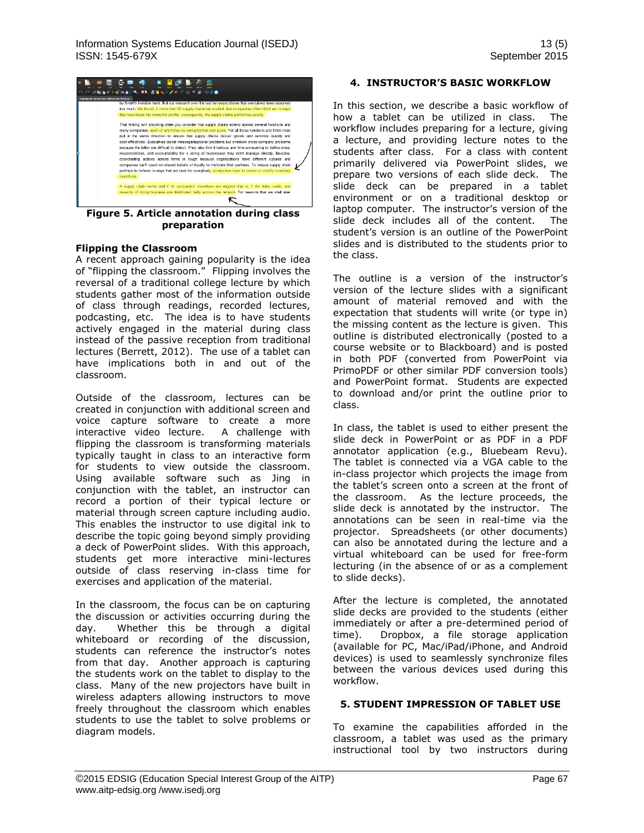

**Figure 5. Article annotation during class preparation**

#### **Flipping the Classroom**

A recent approach gaining popularity is the idea of "flipping the classroom." Flipping involves the reversal of a traditional college lecture by which students gather most of the information outside of class through readings, recorded lectures, podcasting, etc. The idea is to have students actively engaged in the material during class instead of the passive reception from traditional lectures (Berrett, 2012). The use of a tablet can have implications both in and out of the classroom.

Outside of the classroom, lectures can be created in conjunction with additional screen and voice capture software to create a more interactive video lecture. A challenge with flipping the classroom is transforming materials typically taught in class to an interactive form for students to view outside the classroom. Using available software such as Jing in conjunction with the tablet, an instructor can record a portion of their typical lecture or material through screen capture including audio. This enables the instructor to use digital ink to describe the topic going beyond simply providing a deck of PowerPoint slides. With this approach, students get more interactive mini-lectures outside of class reserving in-class time for exercises and application of the material.

In the classroom, the focus can be on capturing the discussion or activities occurring during the day. Whether this be through a digital whiteboard or recording of the discussion, students can reference the instructor's notes from that day. Another approach is capturing the students work on the tablet to display to the class. Many of the new projectors have built in wireless adapters allowing instructors to move freely throughout the classroom which enables students to use the tablet to solve problems or diagram models.

#### **4. INSTRUCTOR'S BASIC WORKFLOW**

In this section, we describe a basic workflow of how a tablet can be utilized in class. The workflow includes preparing for a lecture, giving a lecture, and providing lecture notes to the students after class. For a class with content primarily delivered via PowerPoint slides, we prepare two versions of each slide deck. The slide deck can be prepared in a tablet environment or on a traditional desktop or laptop computer. The instructor's version of the slide deck includes all of the content. The student's version is an outline of the PowerPoint slides and is distributed to the students prior to the class.

The outline is a version of the instructor's version of the lecture slides with a significant amount of material removed and with the expectation that students will write (or type in) the missing content as the lecture is given. This outline is distributed electronically (posted to a course website or to Blackboard) and is posted in both PDF (converted from PowerPoint via PrimoPDF or other similar PDF conversion tools) and PowerPoint format. Students are expected to download and/or print the outline prior to class.

In class, the tablet is used to either present the slide deck in PowerPoint or as PDF in a PDF annotator application (e.g., Bluebeam Revu). The tablet is connected via a VGA cable to the in-class projector which projects the image from the tablet's screen onto a screen at the front of the classroom. As the lecture proceeds, the slide deck is annotated by the instructor. The annotations can be seen in real-time via the projector. Spreadsheets (or other documents) can also be annotated during the lecture and a virtual whiteboard can be used for free-form lecturing (in the absence of or as a complement to slide decks).

After the lecture is completed, the annotated slide decks are provided to the students (either immediately or after a pre-determined period of time). Dropbox, a file storage application (available for PC, Mac/iPad/iPhone, and Android devices) is used to seamlessly synchronize files between the various devices used during this workflow.

#### **5. STUDENT IMPRESSION OF TABLET USE**

To examine the capabilities afforded in the classroom, a tablet was used as the primary instructional tool by two instructors during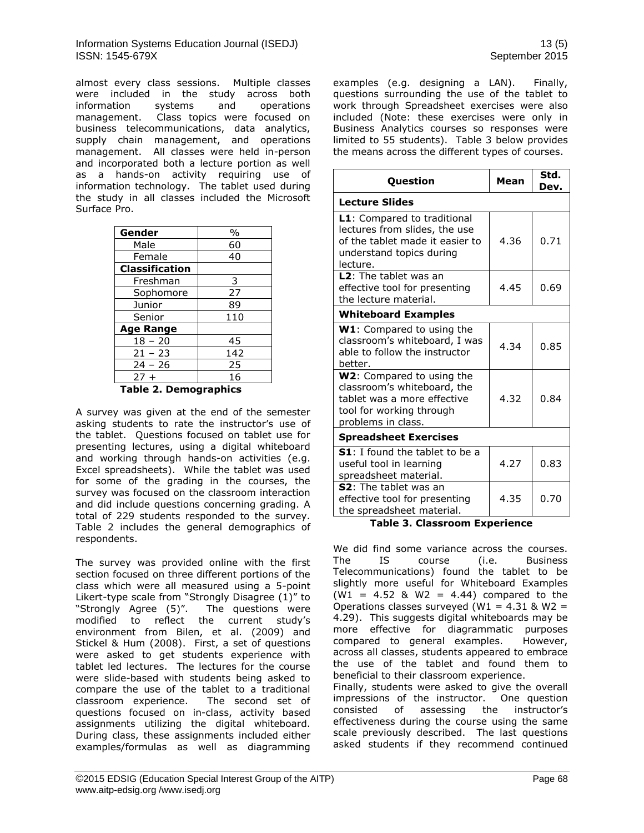almost every class sessions. Multiple classes were included in the study across both information systems and operations management. Class topics were focused on business telecommunications, data analytics, supply chain management, and operations management. All classes were held in-person and incorporated both a lecture portion as well as a hands-on activity requiring use of information technology. The tablet used during the study in all classes included the Microsoft Surface Pro.

| Gender                | $\%$ |  |
|-----------------------|------|--|
| Male                  | 60   |  |
| Female                | 40   |  |
| <b>Classification</b> |      |  |
| Freshman              | 3    |  |
| Sophomore             | 27   |  |
| Junior                | 89   |  |
| Senior                | 110  |  |
| <b>Age Range</b>      |      |  |
| $18 - 20$             | 45   |  |
| $21 - 23$             | 142  |  |
| $24 - 26$             | 25   |  |
| $27+$                 | 16   |  |
|                       |      |  |

**Table 2. Demographics**

A survey was given at the end of the semester asking students to rate the instructor's use of the tablet. Questions focused on tablet use for presenting lectures, using a digital whiteboard and working through hands-on activities (e.g. Excel spreadsheets). While the tablet was used for some of the grading in the courses, the survey was focused on the classroom interaction and did include questions concerning grading. A total of 229 students responded to the survey. Table 2 includes the general demographics of respondents.

The survey was provided online with the first section focused on three different portions of the class which were all measured using a 5-point Likert-type scale from "Strongly Disagree (1)" to "Strongly Agree (5)". The questions were modified to reflect the current study's environment from Bilen, et al. (2009) and Stickel & Hum (2008). First, a set of questions were asked to get students experience with tablet led lectures. The lectures for the course were slide-based with students being asked to compare the use of the tablet to a traditional classroom experience. The second set of questions focused on in-class, activity based assignments utilizing the digital whiteboard. During class, these assignments included either examples/formulas as well as diagramming

examples (e.g. designing a LAN). Finally, questions surrounding the use of the tablet to work through Spreadsheet exercises were also included (Note: these exercises were only in Business Analytics courses so responses were limited to 55 students). Table 3 below provides the means across the different types of courses.

| <b>Question</b>                                                                                                                           | Mean | Std.<br>Dev. |  |
|-------------------------------------------------------------------------------------------------------------------------------------------|------|--------------|--|
| <b>Lecture Slides</b>                                                                                                                     |      |              |  |
| L1: Compared to traditional<br>lectures from slides, the use<br>of the tablet made it easier to<br>understand topics during<br>lecture.   | 4.36 | 0.71         |  |
| <b>L2</b> : The tablet was an<br>effective tool for presenting<br>the lecture material.                                                   | 4.45 | 0.69         |  |
| <b>Whiteboard Examples</b>                                                                                                                |      |              |  |
| <b>W1</b> : Compared to using the<br>classroom's whiteboard, I was<br>able to follow the instructor<br>better.                            | 4.34 | 0.85         |  |
| W2: Compared to using the<br>classroom's whiteboard, the<br>tablet was a more effective<br>tool for working through<br>problems in class. | 4.32 | 0.84         |  |
| <b>Spreadsheet Exercises</b>                                                                                                              |      |              |  |
| S1: I found the tablet to be a<br>useful tool in learning<br>spreadsheet material.                                                        | 4.27 | 0.83         |  |
| <b>S2</b> : The tablet was an<br>effective tool for presenting<br>the spreadsheet material.                                               | 4.35 | 0.70         |  |

**Table 3. Classroom Experience**

We did find some variance across the courses. The IS course (i.e. Business Telecommunications) found the tablet to be slightly more useful for Whiteboard Examples (W1 = 4.52 & W2 = 4.44) compared to the Operations classes surveyed (W1 =  $4.31$  & W2 = 4.29). This suggests digital whiteboards may be more effective for diagrammatic purposes compared to general examples. However, across all classes, students appeared to embrace the use of the tablet and found them to beneficial to their classroom experience. Finally, students were asked to give the overall impressions of the instructor. One question consisted of assessing the instructor's effectiveness during the course using the same scale previously described. The last questions asked students if they recommend continued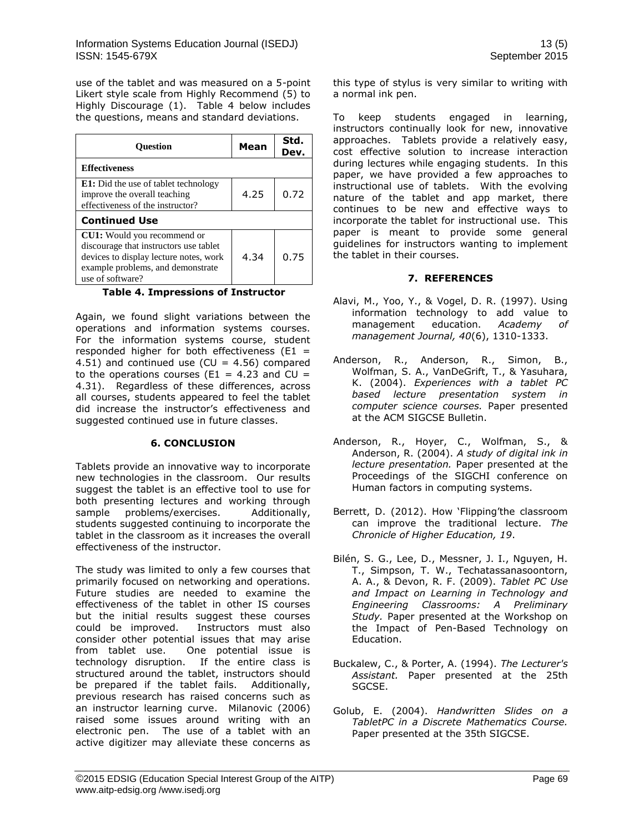use of the tablet and was measured on a 5-point Likert style scale from Highly Recommend (5) to Highly Discourage (1). Table 4 below includes the questions, means and standard deviations.

| <b>Ouestion</b>                                                                                                                                                                 | Mean | Std.<br>Dev. |
|---------------------------------------------------------------------------------------------------------------------------------------------------------------------------------|------|--------------|
| <b>Effectiveness</b>                                                                                                                                                            |      |              |
| <b>E1:</b> Did the use of tablet technology<br>improve the overall teaching<br>effectiveness of the instructor?                                                                 | 4.25 | 0.72         |
| <b>Continued Use</b>                                                                                                                                                            |      |              |
| <b>CU1:</b> Would you recommend or<br>discourage that instructors use tablet<br>devices to display lecture notes, work<br>example problems, and demonstrate<br>use of software? | 4.34 | 0.75         |

#### **Table 4. Impressions of Instructor**

Again, we found slight variations between the operations and information systems courses. For the information systems course, student responded higher for both effectiveness ( $E1 =$ 4.51) and continued use (CU =  $4.56$ ) compared to the operations courses ( $E1 = 4.23$  and  $CU =$ 4.31). Regardless of these differences, across all courses, students appeared to feel the tablet did increase the instructor's effectiveness and suggested continued use in future classes.

# **6. CONCLUSION**

Tablets provide an innovative way to incorporate new technologies in the classroom. Our results suggest the tablet is an effective tool to use for both presenting lectures and working through sample problems/exercises. Additionally, students suggested continuing to incorporate the tablet in the classroom as it increases the overall effectiveness of the instructor.

The study was limited to only a few courses that primarily focused on networking and operations. Future studies are needed to examine the effectiveness of the tablet in other IS courses but the initial results suggest these courses could be improved. Instructors must also consider other potential issues that may arise from tablet use. One potential issue is technology disruption. If the entire class is structured around the tablet, instructors should be prepared if the tablet fails. Additionally, previous research has raised concerns such as an instructor learning curve. Milanovic (2006) raised some issues around writing with an electronic pen. The use of a tablet with an active digitizer may alleviate these concerns as

this type of stylus is very similar to writing with a normal ink pen.

To keep students engaged in learning, instructors continually look for new, innovative approaches. Tablets provide a relatively easy, cost effective solution to increase interaction during lectures while engaging students. In this paper, we have provided a few approaches to instructional use of tablets. With the evolving nature of the tablet and app market, there continues to be new and effective ways to incorporate the tablet for instructional use. This paper is meant to provide some general guidelines for instructors wanting to implement the tablet in their courses.

# **7. REFERENCES**

- Alavi, M., Yoo, Y., & Vogel, D. R. (1997). Using information technology to add value to management education. *Academy of management Journal, 40*(6), 1310-1333.
- Anderson, R., Anderson, R., Simon, B., Wolfman, S. A., VanDeGrift, T., & Yasuhara, K. (2004). *Experiences with a tablet PC based lecture presentation system in computer science courses.* Paper presented at the ACM SIGCSE Bulletin.
- Anderson, R., Hoyer, C., Wolfman, S., & Anderson, R. (2004). *A study of digital ink in lecture presentation.* Paper presented at the Proceedings of the SIGCHI conference on Human factors in computing systems.
- Berrett, D. (2012). How 'Flipping'the classroom can improve the traditional lecture. *The Chronicle of Higher Education, 19*.
- Bilén, S. G., Lee, D., Messner, J. I., Nguyen, H. T., Simpson, T. W., Techatassanasoontorn, A. A., & Devon, R. F. (2009). *Tablet PC Use and Impact on Learning in Technology and Engineering Classrooms: A Preliminary Study.* Paper presented at the Workshop on the Impact of Pen-Based Technology on Education.
- Buckalew, C., & Porter, A. (1994). *The Lecturer's Assistant.* Paper presented at the 25th SGCSE.
- Golub, E. (2004). *Handwritten Slides on a TabletPC in a Discrete Mathematics Course.* Paper presented at the 35th SIGCSE.